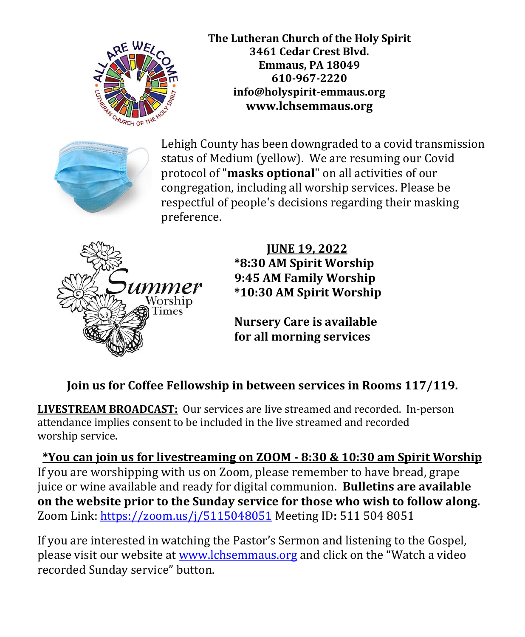

**The Lutheran Church of the Holy Spirit 3461 Cedar Crest Blvd. Emmaus, PA 18049 610-967-2220 info@holyspirit-emmaus.org [www.lchsemmaus.org](http://www.lchsemmaus.org/)**



Lehigh County has been downgraded to a covid transmission status of Medium (yellow). We are resuming our Covid protocol of "**masks optional**" on all activities of our congregation, including all worship services. Please be respectful of people's decisions regarding their masking preference.



 **JUNE 19, 2022 \*8:30 AM Spirit Worship 9:45 AM Family Worship \*10:30 AM Spirit Worship**

**Nursery Care is available for all morning services** 

# **Join us for Coffee Fellowship in between services in Rooms 117/119.**

**LIVESTREAM BROADCAST:** Our services are live streamed and recorded. In-person attendance implies consent to be included in the live streamed and recorded worship service.

**\*You can join us for livestreaming on ZOOM - 8:30 & 10:30 am Spirit Worship** If you are worshipping with us on Zoom, please remember to have bread, grape juice or wine available and ready for digital communion. **Bulletins are available on the website prior to the Sunday service for those who wish to follow along.** Zoom Link:<https://zoom.us/j/5115048051> Meeting ID**:** 511 504 8051

If you are interested in watching the Pastor's Sermon and listening to the Gospel, please visit our website at [www.lchsemmaus.org](http://www.lchsemmaus.org/) and click on the "Watch a video recorded Sunday service" button.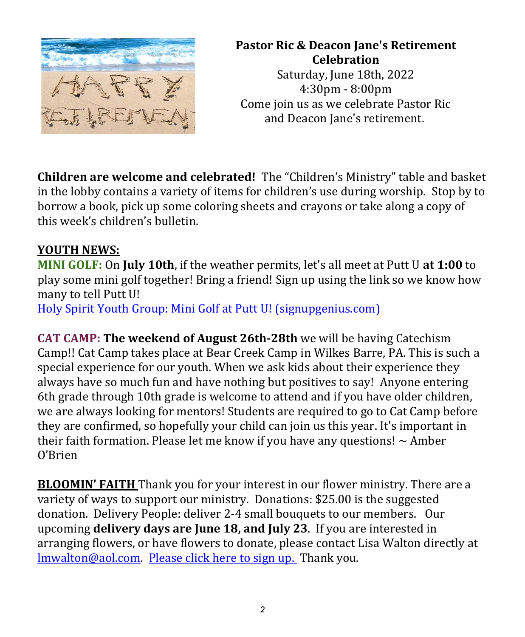

# **Pastor Ric & Deacon Jane's Retirement Celebration**

Saturday, June 18th, 2022 4:30pm - 8:00pm Come join us as we celebrate Pastor Ric and Deacon Jane's retirement.

**Children are welcome and celebrated!** The "Children's Ministry" table and basket in the lobby contains a variety of items for children's use during worship. Stop by to borrow a book, pick up some coloring sheets and crayons or take along a copy of this week's children's bulletin.

### **YOUTH NEWS:**

**MINI GOLF:** On **July 10th**, if the weather permits, let's all meet at Putt U **at 1:00** to play some mini golf together! Bring a friend! Sign up using the link so we know how many to tell Putt U! [Holy Spirit Youth Group: Mini Golf at Putt U! \(signupgenius.com\)](https://www.signupgenius.com/go/10c0e4ca4ae22a1f8c43-mini)

**CAT CAMP: The weekend of August 26th-28th** we will be having Catechism Camp!! Cat Camp takes place at Bear Creek Camp in Wilkes Barre, PA. This is such a special experience for our youth. When we ask kids about their experience they always have so much fun and have nothing but positives to say! Anyone entering 6th grade through 10th grade is welcome to attend and if you have older children, we are always looking for mentors! Students are required to go to Cat Camp before they are confirmed, so hopefully your child can join us this year. It's important in their faith formation. Please let me know if you have any questions!  $\sim$  Amber O'Brien

**BLOOMIN' FAITH** Thank you for your interest in our flower ministry. There are a variety of ways to support our ministry. Donations: \$25.00 is the suggested donation. Delivery People: deliver 2-4 small bouquets to our members. Our upcoming **delivery days are June 18, and July 23**. If you are interested in arranging flowers, or have flowers to donate, please contact Lisa Walton directly at [lmwalton@aol.com.](mailto:lmwalton@aol.com) [Please click here to sign up.](https://www.signupgenius.com/go/8050A4CA4A6292-bloomin5) Thank you.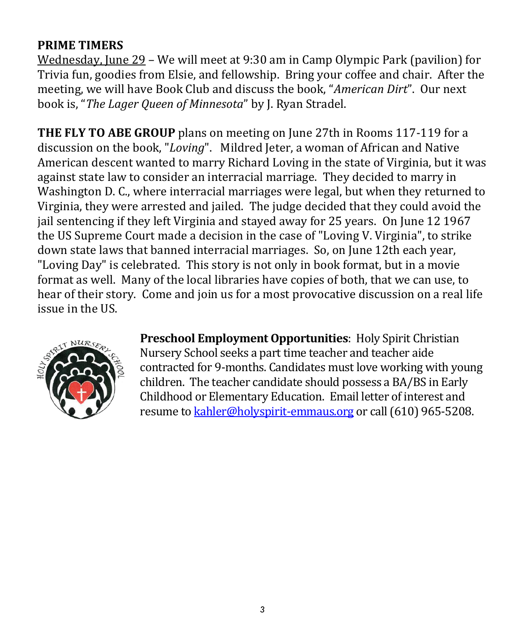### **PRIME TIMERS**

Wednesday, June 29 – We will meet at 9:30 am in Camp Olympic Park (pavilion) for Trivia fun, goodies from Elsie, and fellowship. Bring your coffee and chair. After the meeting, we will have Book Club and discuss the book, "*American Dirt*". Our next book is, "*The Lager Queen of Minnesota*" by J. Ryan Stradel.

**THE FLY TO ABE GROUP** plans on meeting on June 27th in Rooms 117-119 for a discussion on the book, "*Loving*". Mildred Jeter, a woman of African and Native American descent wanted to marry Richard Loving in the state of Virginia, but it was against state law to consider an interracial marriage. They decided to marry in Washington D. C., where interracial marriages were legal, but when they returned to Virginia, they were arrested and jailed. The judge decided that they could avoid the jail sentencing if they left Virginia and stayed away for 25 years. On June 12 1967 the US Supreme Court made a decision in the case of "Loving V. Virginia", to strike down state laws that banned interracial marriages. So, on June 12th each year, "Loving Day" is celebrated. This story is not only in book format, but in a movie format as well. Many of the local libraries have copies of both, that we can use, to hear of their story. Come and join us for a most provocative discussion on a real life issue in the US.



**Preschool Employment Opportunities**: Holy Spirit Christian Nursery School seeks a part time teacher and teacher aide contracted for 9-months. Candidates must love working with young children. The teacher candidate should possess a BA/BS in Early Childhood or Elementary Education. Email letter of interest and resume t[o kahler@holyspirit-emmaus.org](mailto:kahler@holyspirit-emmaus.org) or call (610) 965-5208.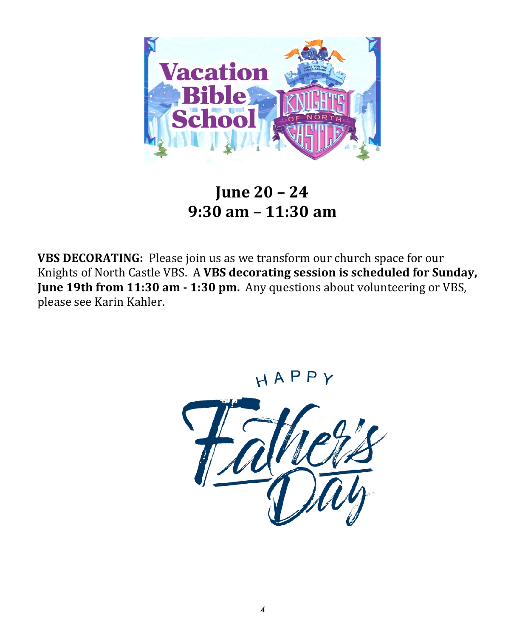

**June 20 – 24 9:30 am – 11:30 am**

**VBS DECORATING:** Please join us as we transform our church space for our Knights of North Castle VBS. A **VBS decorating session is scheduled for Sunday, June 19th from 11:30 am - 1:30 pm.** Any questions about volunteering or VBS, please see Karin Kahler.

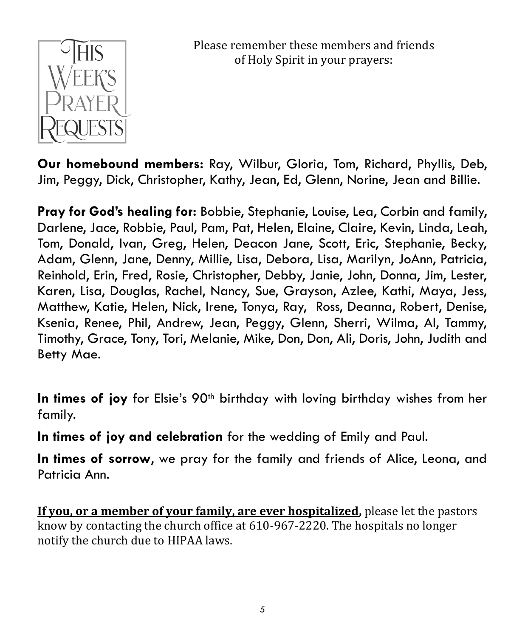

Please remember these members and friends of Holy Spirit in your prayers:

**Our homebound members:** Ray, Wilbur, Gloria, Tom, Richard, Phyllis, Deb, Jim, Peggy, Dick, Christopher, Kathy, Jean, Ed, Glenn, Norine, Jean and Billie.

**Pray for God's healing for:** Bobbie, Stephanie, Louise, Lea, Corbin and family, Darlene, Jace, Robbie, Paul, Pam, Pat, Helen, Elaine, Claire, Kevin, Linda, Leah, Tom, Donald, Ivan, Greg, Helen, Deacon Jane, Scott, Eric, Stephanie, Becky, Adam, Glenn, Jane, Denny, Millie, Lisa, Debora, Lisa, Marilyn, JoAnn, Patricia, Reinhold, Erin, Fred, Rosie, Christopher, Debby, Janie, John, Donna, Jim, Lester, Karen, Lisa, Douglas, Rachel, Nancy, Sue, Grayson, Azlee, Kathi, Maya, Jess, Matthew, Katie, Helen, Nick, Irene, Tonya, Ray, Ross, Deanna, Robert, Denise, Ksenia, Renee, Phil, Andrew, Jean, Peggy, Glenn, Sherri, Wilma, Al, Tammy, Timothy, Grace, Tony, Tori, Melanie, Mike, Don, Don, Ali, Doris, John, Judith and Betty Mae.

**In times of joy** for Elsie's 90<sup>th</sup> birthday with loving birthday wishes from her family.

**In times of joy and celebration** for the wedding of Emily and Paul.

**In times of sorrow**, we pray for the family and friends of Alice, Leona, and Patricia Ann.

**If you, or a member of your family, are ever hospitalized,** please let the pastors know by contacting the church office at 610-967-2220. The hospitals no longer notify the church due to HIPAA laws.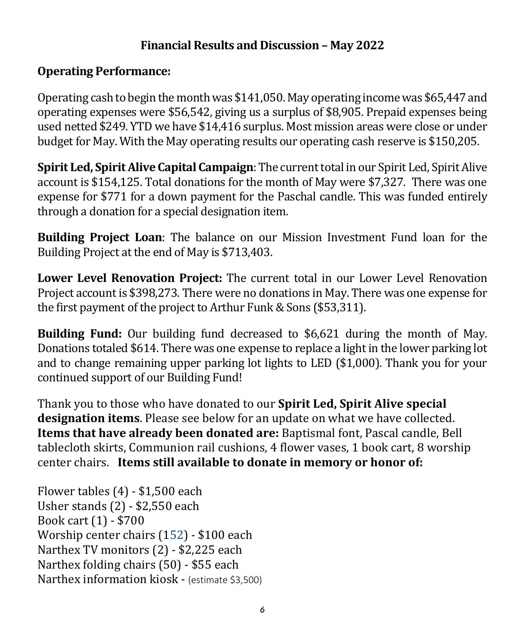### **Financial Results and Discussion – May 2022**

### **Operating Performance:**

Operating cash to begin the month was \$141,050. May operating income was \$65,447 and operating expenses were \$56,542, giving us a surplus of \$8,905. Prepaid expenses being used netted \$249. YTD we have \$14,416 surplus. Most mission areas were close or under budget for May. With the May operating results our operating cash reserve is \$150,205.

**Spirit Led, Spirit Alive Capital Campaign**: The current total in our Spirit Led, Spirit Alive account is \$154,125. Total donations for the month of May were \$7,327. There was one expense for \$771 for a down payment for the Paschal candle. This was funded entirely through a donation for a special designation item.

**Building Project Loan**: The balance on our Mission Investment Fund loan for the Building Project at the end of May is \$713,403.

**Lower Level Renovation Project:** The current total in our Lower Level Renovation Project account is \$398,273. There were no donations in May. There was one expense for the first payment of the project to Arthur Funk & Sons (\$53,311).

**Building Fund:** Our building fund decreased to \$6,621 during the month of May. Donations totaled \$614. There was one expense to replace a light in the lower parking lot and to change remaining upper parking lot lights to LED (\$1,000). Thank you for your continued support of our Building Fund!

Thank you to those who have donated to our **Spirit Led, Spirit Alive special designation items**. Please see below for an update on what we have collected. **Items that have already been donated are:** Baptismal font, Pascal candle, Bell tablecloth skirts, Communion rail cushions, 4 flower vases, 1 book cart, 8 worship center chairs. **Items still available to donate in memory or honor of:**

Flower tables (4) - \$1,500 each Usher stands (2) - \$2,550 each Book cart (1) - \$700 Worship center chairs (152) - \$100 each Narthex TV monitors (2) - \$2,225 each Narthex folding chairs (50) - \$55 each Narthex information kiosk - (estimate \$3,500)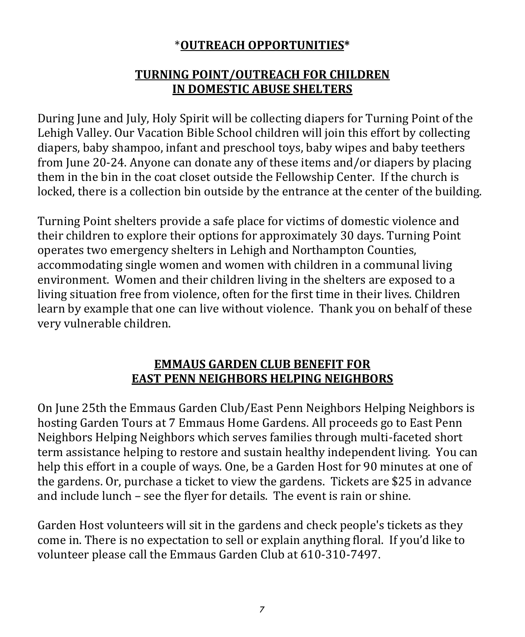## \***OUTREACH OPPORTUNITIES\***

### **TURNING POINT/OUTREACH FOR CHILDREN IN DOMESTIC ABUSE SHELTERS**

During June and July, Holy Spirit will be collecting diapers for Turning Point of the Lehigh Valley. Our Vacation Bible School children will join this effort by collecting diapers, baby shampoo, infant and preschool toys, baby wipes and baby teethers from June 20-24. Anyone can donate any of these items and/or diapers by placing them in the bin in the coat closet outside the Fellowship Center. If the church is locked, there is a collection bin outside by the entrance at the center of the building.

Turning Point shelters provide a safe place for victims of domestic violence and their children to explore their options for approximately 30 days. Turning Point operates two emergency shelters in Lehigh and Northampton Counties, accommodating single women and women with children in a communal living environment. Women and their children living in the shelters are exposed to a living situation free from violence, often for the first time in their lives. Children learn by example that one can live without violence. Thank you on behalf of these very vulnerable children.

### **EMMAUS GARDEN CLUB BENEFIT FOR EAST PENN NEIGHBORS HELPING NEIGHBORS**

On June 25th the Emmaus Garden Club/East Penn Neighbors Helping Neighbors is hosting Garden Tours at 7 Emmaus Home Gardens. All proceeds go to East Penn Neighbors Helping Neighbors which serves families through multi-faceted short term assistance helping to restore and sustain healthy independent living. You can help this effort in a couple of ways. One, be a Garden Host for 90 minutes at one of the gardens. Or, purchase a ticket to view the gardens. Tickets are \$25 in advance and include lunch – see the flyer for details. The event is rain or shine.

Garden Host volunteers will sit in the gardens and check people's tickets as they come in. There is no expectation to sell or explain anything floral. If you'd like to volunteer please call the Emmaus Garden Club at 610-310-7497.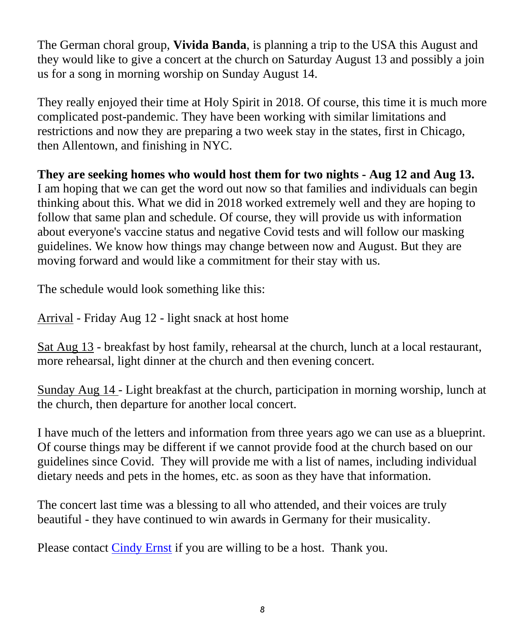The German choral group, **Vivida Banda**, is planning a trip to the USA this August and they would like to give a concert at the church on Saturday August 13 and possibly a join us for a song in morning worship on Sunday August 14.

They really enjoyed their time at Holy Spirit in 2018. Of course, this time it is much more complicated post-pandemic. They have been working with similar limitations and restrictions and now they are preparing a two week stay in the states, first in Chicago, then Allentown, and finishing in NYC.

**They are seeking homes who would host them for two nights - Aug 12 and Aug 13.** I am hoping that we can get the word out now so that families and individuals can begin thinking about this. What we did in 2018 worked extremely well and they are hoping to follow that same plan and schedule. Of course, they will provide us with information about everyone's vaccine status and negative Covid tests and will follow our masking guidelines. We know how things may change between now and August. But they are moving forward and would like a commitment for their stay with us.

The schedule would look something like this:

Arrival - Friday Aug 12 - light snack at host home

Sat Aug 13 - breakfast by host family, rehearsal at the church, lunch at a local restaurant, more rehearsal, light dinner at the church and then evening concert.

Sunday Aug 14 - Light breakfast at the church, participation in morning worship, lunch at the church, then departure for another local concert.

I have much of the letters and information from three years ago we can use as a blueprint. Of course things may be different if we cannot provide food at the church based on our guidelines since Covid. They will provide me with a list of names, including individual dietary needs and pets in the homes, etc. as soon as they have that information.

The concert last time was a blessing to all who attended, and their voices are truly beautiful - they have continued to win awards in Germany for their musicality.

Please contact [Cindy Ernst](mailto:cindyernst88@gmail.com) if you are willing to be a host. Thank you.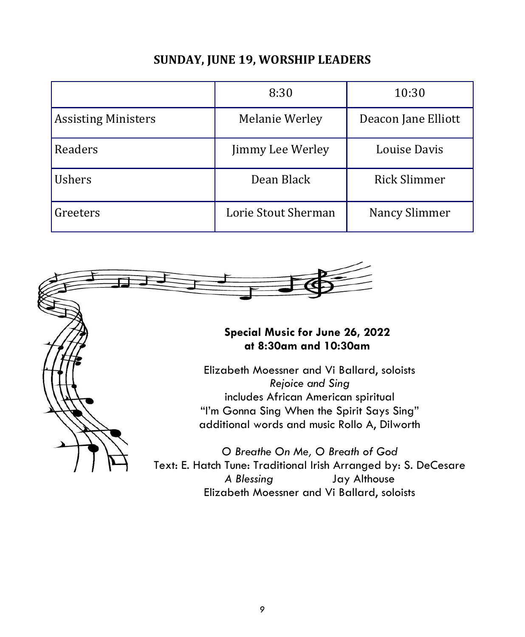### **SUNDAY, JUNE 19, WORSHIP LEADERS**

|                            | 8:30                | 10:30               |
|----------------------------|---------------------|---------------------|
| <b>Assisting Ministers</b> | Melanie Werley      | Deacon Jane Elliott |
| Readers                    | Jimmy Lee Werley    | Louise Davis        |
| <b>Ushers</b>              | Dean Black          | <b>Rick Slimmer</b> |
| Greeters                   | Lorie Stout Sherman | Nancy Slimmer       |



#### **Special Music for June 26, 2022 at 8:30am and 10:30am**

Elizabeth Moessner and Vi Ballard, soloists *Rejoice and Sing* includes African American spiritual "I'm Gonna Sing When the Spirit Says Sing" additional words and music Rollo A, Dilworth

*O Breathe On Me, O Breath of God* Text: E. Hatch Tune: Traditional Irish Arranged by: S. DeCesare *A Blessing* Jay Althouse Elizabeth Moessner and Vi Ballard, soloists